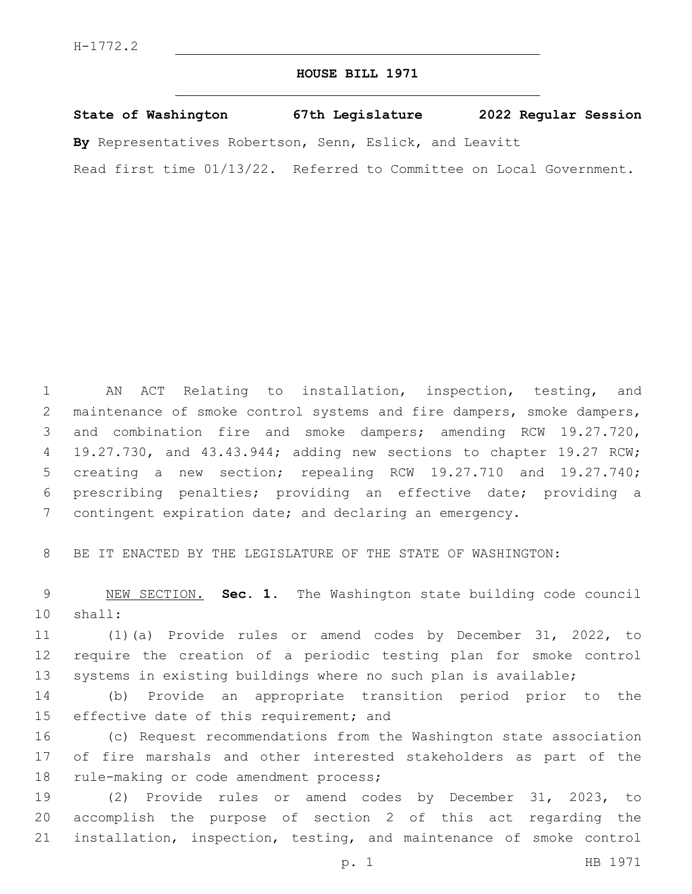## **HOUSE BILL 1971**

**State of Washington 67th Legislature 2022 Regular Session**

**By** Representatives Robertson, Senn, Eslick, and Leavitt

Read first time 01/13/22. Referred to Committee on Local Government.

 AN ACT Relating to installation, inspection, testing, and maintenance of smoke control systems and fire dampers, smoke dampers, and combination fire and smoke dampers; amending RCW 19.27.720, 19.27.730, and 43.43.944; adding new sections to chapter 19.27 RCW; creating a new section; repealing RCW 19.27.710 and 19.27.740; prescribing penalties; providing an effective date; providing a contingent expiration date; and declaring an emergency.

BE IT ENACTED BY THE LEGISLATURE OF THE STATE OF WASHINGTON:

 NEW SECTION. **Sec. 1.** The Washington state building code council shall:

 (1)(a) Provide rules or amend codes by December 31, 2022, to require the creation of a periodic testing plan for smoke control systems in existing buildings where no such plan is available;

 (b) Provide an appropriate transition period prior to the 15 effective date of this requirement; and

 (c) Request recommendations from the Washington state association of fire marshals and other interested stakeholders as part of the 18 rule-making or code amendment process;

 (2) Provide rules or amend codes by December 31, 2023, to accomplish the purpose of section 2 of this act regarding the installation, inspection, testing, and maintenance of smoke control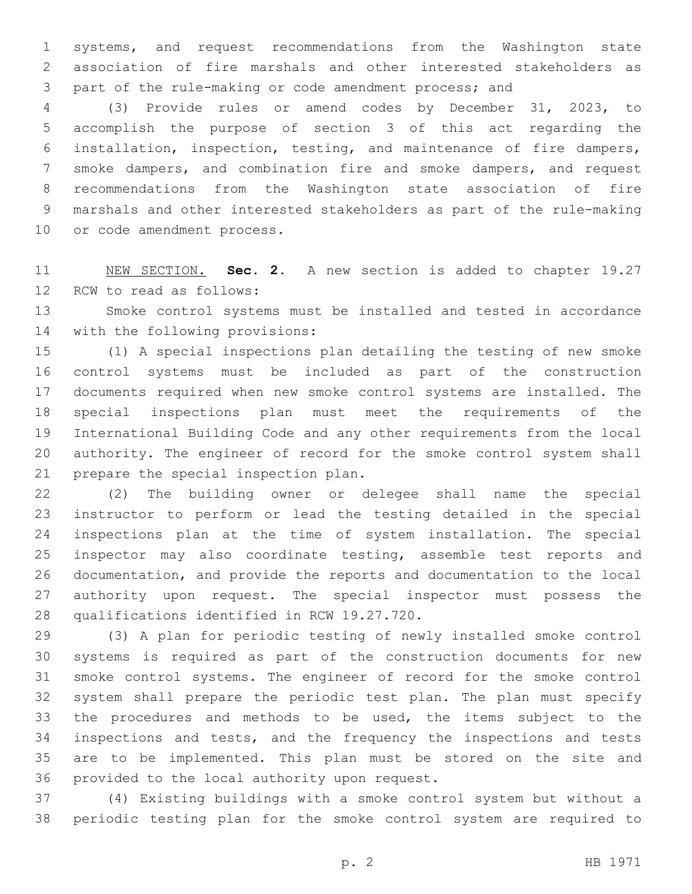systems, and request recommendations from the Washington state association of fire marshals and other interested stakeholders as part of the rule-making or code amendment process; and

 (3) Provide rules or amend codes by December 31, 2023, to accomplish the purpose of section 3 of this act regarding the installation, inspection, testing, and maintenance of fire dampers, smoke dampers, and combination fire and smoke dampers, and request recommendations from the Washington state association of fire marshals and other interested stakeholders as part of the rule-making 10 or code amendment process.

 NEW SECTION. **Sec. 2.** A new section is added to chapter 19.27 12 RCW to read as follows:

 Smoke control systems must be installed and tested in accordance 14 with the following provisions:

 (1) A special inspections plan detailing the testing of new smoke control systems must be included as part of the construction documents required when new smoke control systems are installed. The special inspections plan must meet the requirements of the International Building Code and any other requirements from the local authority. The engineer of record for the smoke control system shall 21 prepare the special inspection plan.

 (2) The building owner or delegee shall name the special instructor to perform or lead the testing detailed in the special inspections plan at the time of system installation. The special inspector may also coordinate testing, assemble test reports and documentation, and provide the reports and documentation to the local authority upon request. The special inspector must possess the 28 qualifications identified in RCW 19.27.720.

 (3) A plan for periodic testing of newly installed smoke control systems is required as part of the construction documents for new smoke control systems. The engineer of record for the smoke control system shall prepare the periodic test plan. The plan must specify the procedures and methods to be used, the items subject to the inspections and tests, and the frequency the inspections and tests are to be implemented. This plan must be stored on the site and 36 provided to the local authority upon request.

 (4) Existing buildings with a smoke control system but without a periodic testing plan for the smoke control system are required to

p. 2 HB 1971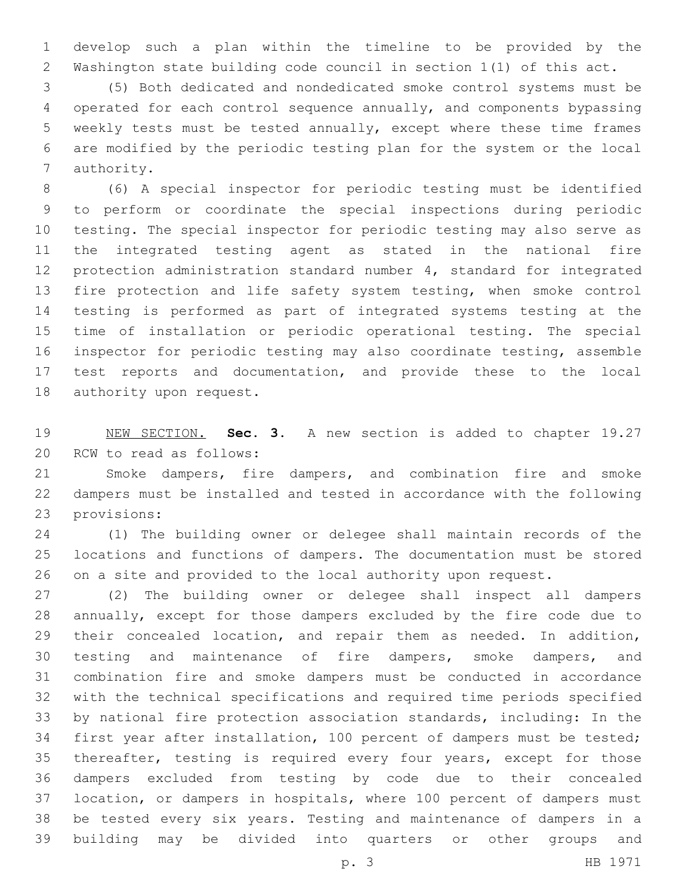develop such a plan within the timeline to be provided by the Washington state building code council in section 1(1) of this act.

 (5) Both dedicated and nondedicated smoke control systems must be operated for each control sequence annually, and components bypassing weekly tests must be tested annually, except where these time frames are modified by the periodic testing plan for the system or the local 7 authority.

 (6) A special inspector for periodic testing must be identified to perform or coordinate the special inspections during periodic testing. The special inspector for periodic testing may also serve as the integrated testing agent as stated in the national fire protection administration standard number 4, standard for integrated fire protection and life safety system testing, when smoke control testing is performed as part of integrated systems testing at the time of installation or periodic operational testing. The special inspector for periodic testing may also coordinate testing, assemble test reports and documentation, and provide these to the local 18 authority upon request.

 NEW SECTION. **Sec. 3.** A new section is added to chapter 19.27 20 RCW to read as follows:

 Smoke dampers, fire dampers, and combination fire and smoke dampers must be installed and tested in accordance with the following 23 provisions:

 (1) The building owner or delegee shall maintain records of the locations and functions of dampers. The documentation must be stored on a site and provided to the local authority upon request.

 (2) The building owner or delegee shall inspect all dampers annually, except for those dampers excluded by the fire code due to their concealed location, and repair them as needed. In addition, testing and maintenance of fire dampers, smoke dampers, and combination fire and smoke dampers must be conducted in accordance with the technical specifications and required time periods specified by national fire protection association standards, including: In the first year after installation, 100 percent of dampers must be tested; 35 thereafter, testing is required every four years, except for those dampers excluded from testing by code due to their concealed location, or dampers in hospitals, where 100 percent of dampers must be tested every six years. Testing and maintenance of dampers in a building may be divided into quarters or other groups and

p. 3 HB 1971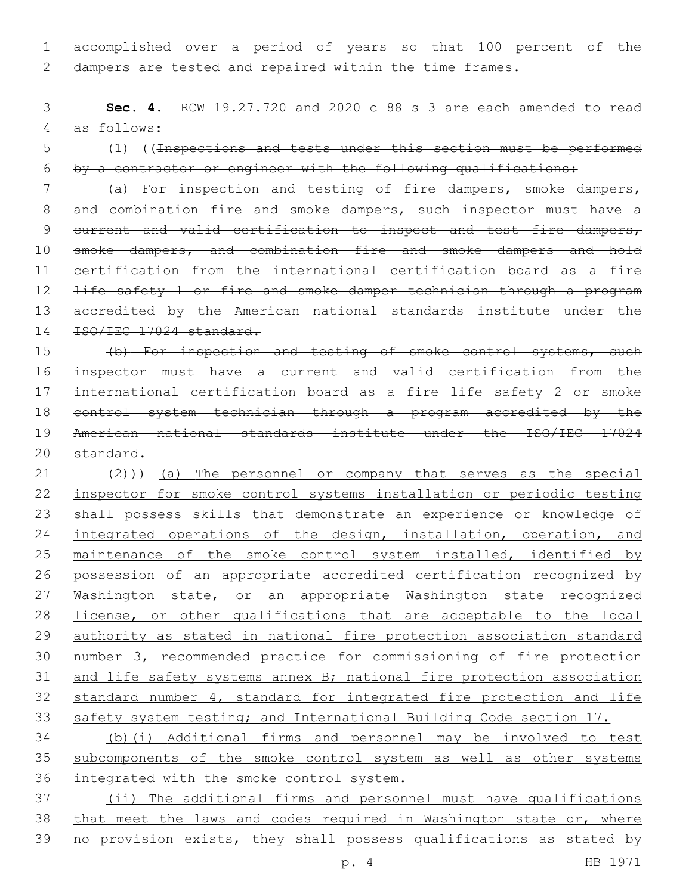accomplished over a period of years so that 100 percent of the dampers are tested and repaired within the time frames.

 **Sec. 4.** RCW 19.27.720 and 2020 c 88 s 3 are each amended to read 4 as follows:

 (1) ((Inspections and tests under this section must be performed by a contractor or engineer with the following qualifications:

 (a) For inspection and testing of fire dampers, smoke dampers, 8 and combination fire and smoke dampers, such inspector must have a 9 current and valid certification to inspect and test fire dampers, smoke dampers, and combination fire and smoke dampers and hold certification from the international certification board as a fire 12 <del>life safety 1 or fire and smoke damper technician through a program</del> 13 accredited by the American national standards institute under the ISO/IEC 17024 standard.

15 (b) For inspection and testing of smoke control systems, such inspector must have a current and valid certification from the international certification board as a fire life safety 2 or smoke control system technician through a program accredited by the American national standards institute under the ISO/IEC 17024 20 standard.

 $(2)$   $(2)$ )) (a) The personnel or company that serves as the special inspector for smoke control systems installation or periodic testing shall possess skills that demonstrate an experience or knowledge of 24 integrated operations of the design, installation, operation, and 25 maintenance of the smoke control system installed, identified by possession of an appropriate accredited certification recognized by 27 Washington state, or an appropriate Washington state recognized license, or other qualifications that are acceptable to the local authority as stated in national fire protection association standard number 3, recommended practice for commissioning of fire protection and life safety systems annex B; national fire protection association standard number 4, standard for integrated fire protection and life safety system testing; and International Building Code section 17.

 (b)(i) Additional firms and personnel may be involved to test subcomponents of the smoke control system as well as other systems integrated with the smoke control system.

 (ii) The additional firms and personnel must have qualifications 38 that meet the laws and codes required in Washington state or, where no provision exists, they shall possess qualifications as stated by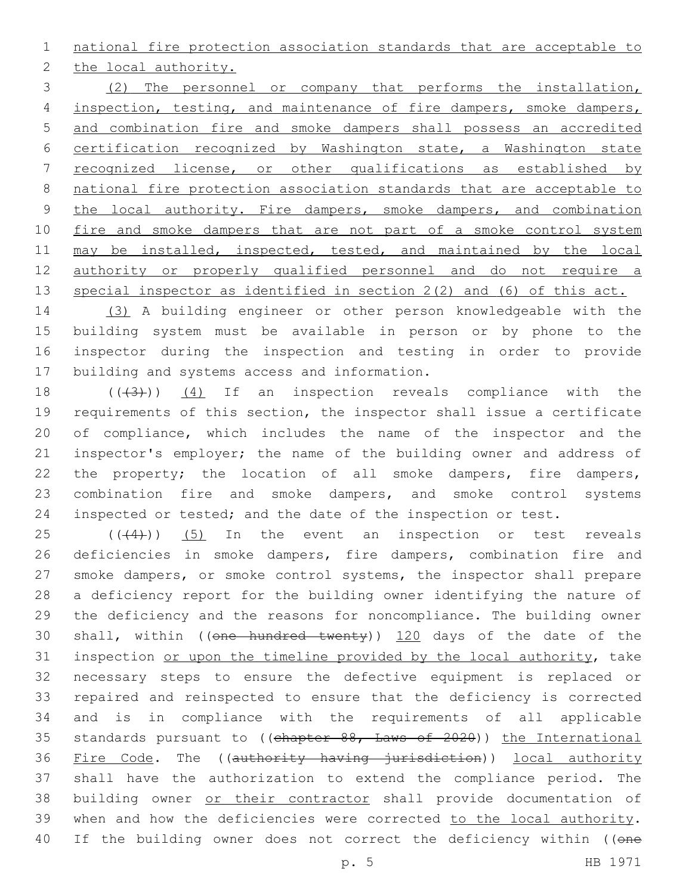national fire protection association standards that are acceptable to

2 the local authority.

 (2) The personnel or company that performs the installation, 4 inspection, testing, and maintenance of fire dampers, smoke dampers, and combination fire and smoke dampers shall possess an accredited certification recognized by Washington state, a Washington state recognized license, or other qualifications as established by national fire protection association standards that are acceptable to 9 the local authority. Fire dampers, smoke dampers, and combination 10 fire and smoke dampers that are not part of a smoke control system 11 may be installed, inspected, tested, and maintained by the local authority or properly qualified personnel and do not require a special inspector as identified in section 2(2) and (6) of this act.

 (3) A building engineer or other person knowledgeable with the building system must be available in person or by phone to the inspector during the inspection and testing in order to provide 17 building and systems access and information.

 $((+3+))$  (4) If an inspection reveals compliance with the requirements of this section, the inspector shall issue a certificate of compliance, which includes the name of the inspector and the inspector's employer; the name of the building owner and address of 22 the property; the location of all smoke dampers, fire dampers, combination fire and smoke dampers, and smoke control systems inspected or tested; and the date of the inspection or test.

 ( $(44)$ ))  $(5)$  In the event an inspection or test reveals 26 deficiencies in smoke dampers, fire dampers, combination fire and smoke dampers, or smoke control systems, the inspector shall prepare a deficiency report for the building owner identifying the nature of the deficiency and the reasons for noncompliance. The building owner 30 shall, within ((one hundred twenty)) 120 days of the date of the 31 inspection or upon the timeline provided by the local authority, take necessary steps to ensure the defective equipment is replaced or repaired and reinspected to ensure that the deficiency is corrected and is in compliance with the requirements of all applicable 35 standards pursuant to ((chapter 88, Laws of 2020)) the International 36 Fire Code. The ((authority having jurisdiction)) local authority shall have the authorization to extend the compliance period. The 38 building owner or their contractor shall provide documentation of 39 when and how the deficiencies were corrected to the local authority. 40 If the building owner does not correct the deficiency within ((one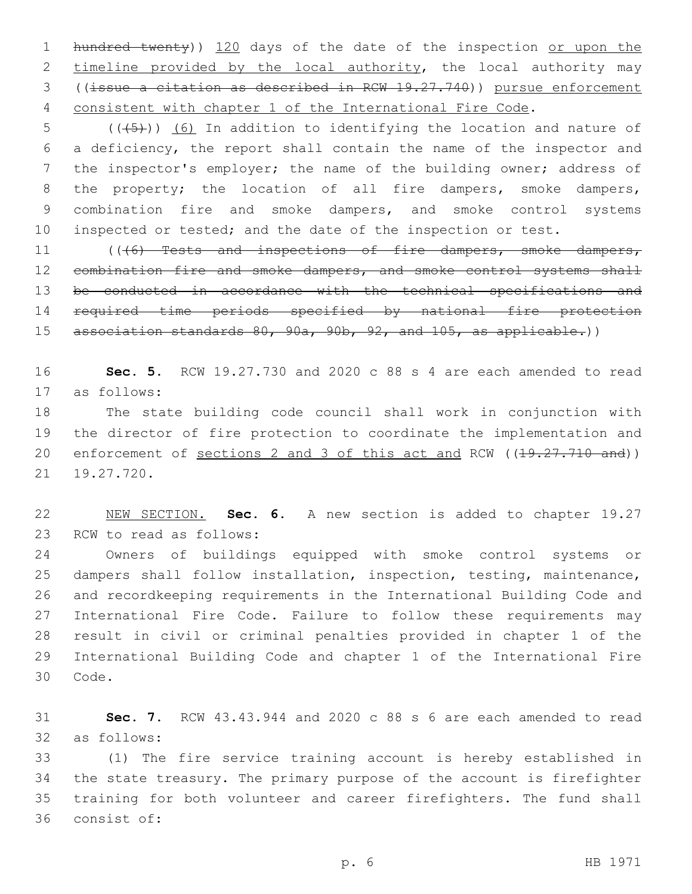1 hundred twenty)) 120 days of the date of the inspection or upon the 2 timeline provided by the local authority, the local authority may 3 ((issue a citation as described in RCW 19.27.740)) pursue enforcement 4 consistent with chapter 1 of the International Fire Code.

 $(1+5)$  (( $(1+5)$ )) (6) In addition to identifying the location and nature of 6 a deficiency, the report shall contain the name of the inspector and 7 the inspector's employer; the name of the building owner; address of 8 the property; the location of all fire dampers, smoke dampers, 9 combination fire and smoke dampers, and smoke control systems 10 inspected or tested; and the date of the inspection or test.

11 (((6) Tests and inspections of fire dampers, smoke dampers, 12 combination fire and smoke dampers, and smoke control systems shall 13 be conducted in accordance with the technical specifications and 14 required time periods specified by national fire protection 15 association standards 80, 90a, 90b, 92, and 105, as applicable.))

16 **Sec. 5.** RCW 19.27.730 and 2020 c 88 s 4 are each amended to read as follows:17

18 The state building code council shall work in conjunction with 19 the director of fire protection to coordinate the implementation and 20 enforcement of sections 2 and 3 of this act and RCW ((19.27.710 and)) 21 19.27.720.

22 NEW SECTION. **Sec. 6.** A new section is added to chapter 19.27 23 RCW to read as follows:

 Owners of buildings equipped with smoke control systems or dampers shall follow installation, inspection, testing, maintenance, and recordkeeping requirements in the International Building Code and International Fire Code. Failure to follow these requirements may result in civil or criminal penalties provided in chapter 1 of the International Building Code and chapter 1 of the International Fire 30 Code.

31 **Sec. 7.** RCW 43.43.944 and 2020 c 88 s 6 are each amended to read 32 as follows:

 (1) The fire service training account is hereby established in the state treasury. The primary purpose of the account is firefighter training for both volunteer and career firefighters. The fund shall 36 consist of: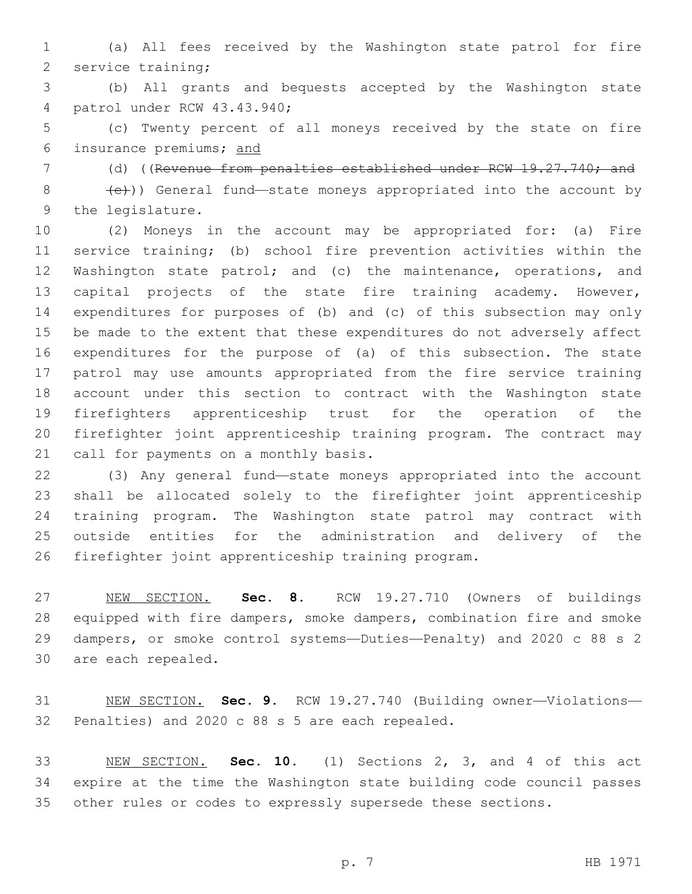(a) All fees received by the Washington state patrol for fire 2 service training;

 (b) All grants and bequests accepted by the Washington state patrol under RCW 43.43.940;4

 (c) Twenty percent of all moneys received by the state on fire insurance premiums; and

7 (d) ((Revenue from penalties established under RCW 19.27.740; and

 $\left( \frac{e}{e} \right)$ ) General fund—state moneys appropriated into the account by 9 the legislature.

 (2) Moneys in the account may be appropriated for: (a) Fire service training; (b) school fire prevention activities within the 12 Washington state patrol; and (c) the maintenance, operations, and capital projects of the state fire training academy. However, expenditures for purposes of (b) and (c) of this subsection may only be made to the extent that these expenditures do not adversely affect expenditures for the purpose of (a) of this subsection. The state patrol may use amounts appropriated from the fire service training account under this section to contract with the Washington state firefighters apprenticeship trust for the operation of the firefighter joint apprenticeship training program. The contract may 21 call for payments on a monthly basis.

 (3) Any general fund—state moneys appropriated into the account shall be allocated solely to the firefighter joint apprenticeship training program. The Washington state patrol may contract with outside entities for the administration and delivery of the firefighter joint apprenticeship training program.

 NEW SECTION. **Sec. 8.** RCW 19.27.710 (Owners of buildings equipped with fire dampers, smoke dampers, combination fire and smoke dampers, or smoke control systems—Duties—Penalty) and 2020 c 88 s 2 are each repealed.

 NEW SECTION. **Sec. 9.** RCW 19.27.740 (Building owner—Violations— Penalties) and 2020 c 88 s 5 are each repealed.

 NEW SECTION. **Sec. 10.** (1) Sections 2, 3, and 4 of this act expire at the time the Washington state building code council passes other rules or codes to expressly supersede these sections.